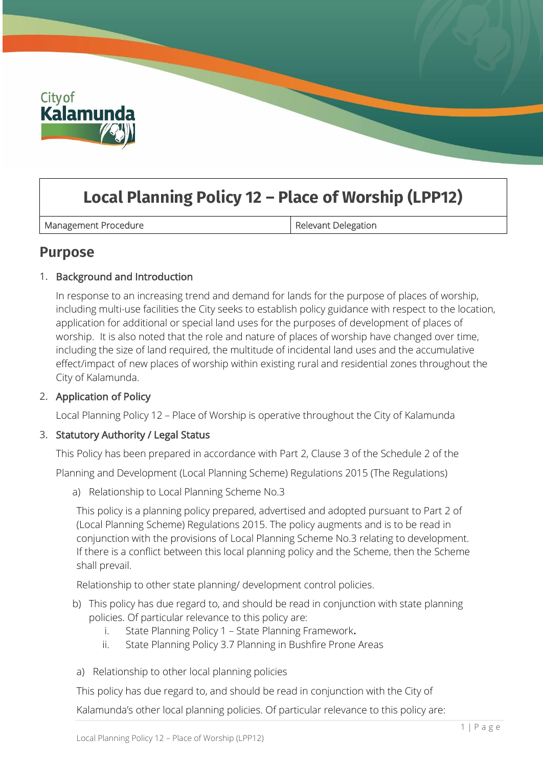

# **Local Planning Policy 12 – Place of Worship (LPP12)**

Management Procedure **Relevant Delegation** 

## **Purpose**

## 1. Background and Introduction

In response to an increasing trend and demand for lands for the purpose of places of worship, including multi-use facilities the City seeks to establish policy guidance with respect to the location, application for additional or special land uses for the purposes of development of places of worship. It is also noted that the role and nature of places of worship have changed over time, including the size of land required, the multitude of incidental land uses and the accumulative effect/impact of new places of worship within existing rural and residential zones throughout the City of Kalamunda.

## 2. Application of Policy

Local Planning Policy 12 – Place of Worship is operative throughout the City of Kalamunda

## 3. Statutory Authority / Legal Status

This Policy has been prepared in accordance with Part 2, Clause 3 of the Schedule 2 of the

Planning and Development (Local Planning Scheme) Regulations 2015 (The Regulations)

a) Relationship to Local Planning Scheme No.3

This policy is a planning policy prepared, advertised and adopted pursuant to Part 2 of (Local Planning Scheme) Regulations 2015. The policy augments and is to be read in conjunction with the provisions of Local Planning Scheme No.3 relating to development. If there is a conflict between this local planning policy and the Scheme, then the Scheme shall prevail.

Relationship to other state planning/ development control policies.

- b) This policy has due regard to, and should be read in conjunction with state planning policies. Of particular relevance to this policy are:
	- i. State Planning Policy 1 State Planning Framework.
	- ii. State Planning Policy 3.7 Planning in Bushfire Prone Areas
- a) Relationship to other local planning policies

This policy has due regard to, and should be read in conjunction with the City of

Kalamunda's other local planning policies. Of particular relevance to this policy are: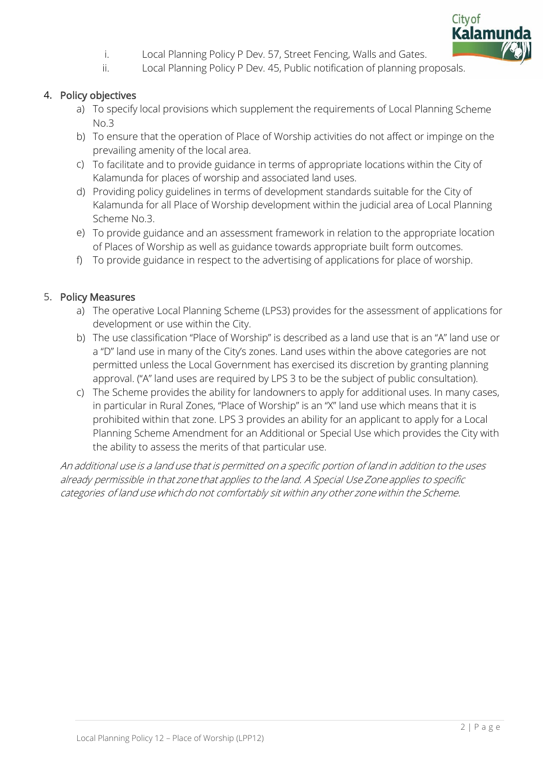

- i. Local Planning Policy P Dev. 57, Street Fencing, Walls and Gates.
- ii. Local Planning Policy P Dev. 45, Public notification of planning proposals.

#### 4. Policy objectives

- a) To specify local provisions which supplement the requirements of Local Planning Scheme No.3
- b) To ensure that the operation of Place of Worship activities do not affect or impinge on the prevailing amenity of the local area.
- c) To facilitate and to provide guidance in terms of appropriate locations within the City of Kalamunda for places of worship and associated land uses.
- d) Providing policy guidelines in terms of development standards suitable for the City of Kalamunda for all Place of Worship development within the judicial area of Local Planning Scheme No.3.
- e) To provide guidance and an assessment framework in relation to the appropriate location of Places of Worship as well as guidance towards appropriate built form outcomes.
- f) To provide guidance in respect to the advertising of applications for place of worship.

#### 5. Policy Measures

- a) The operative Local Planning Scheme (LPS3) provides for the assessment of applications for development or use within the City.
- b) The use classification "Place of Worship" is described as a land use that is an "A" land use or a "D" land use in many of the City's zones. Land uses within the above categories are not permitted unless the Local Government has exercised its discretion by granting planning approval. ("A" land uses are required by LPS 3 to be the subject of public consultation).
- c) The Scheme provides the ability for landowners to apply for additional uses. In many cases, in particular in Rural Zones, "Place of Worship" is an "X" land use which means that it is prohibited within that zone. LPS 3 provides an ability for an applicant to apply for a Local Planning Scheme Amendment for an Additional or Special Use which provides the City with the ability to assess the merits of that particular use.

An additional use is a land use that is permitted on a specific portion of land in addition to the uses already permissible in that zone that applies to the land. A Special Use Zone applies to specific categories of land use which do not comfortably sit within any other zone within the Scheme.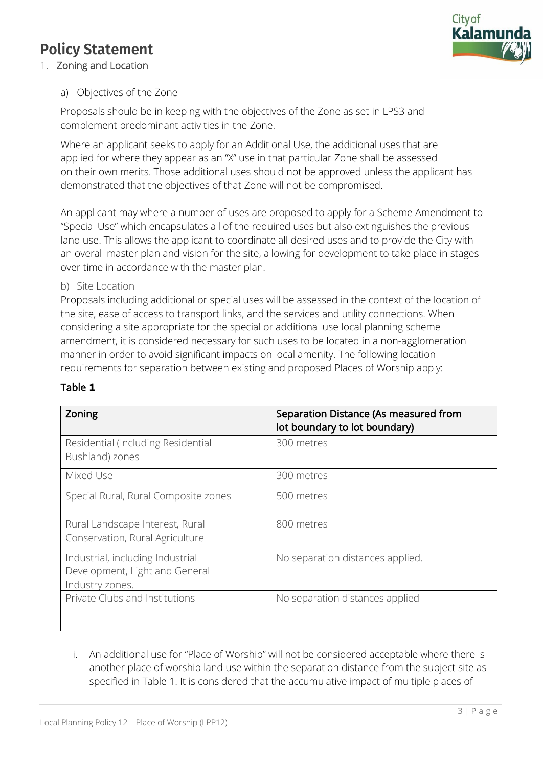## **Policy Statement**



## 1. Zoning and Location

## a) Objectives of the Zone

Proposals should be in keeping with the objectives of the Zone as set in LPS3 and complement predominant activities in the Zone.

Where an applicant seeks to apply for an Additional Use, the additional uses that are applied for where they appear as an "X" use in that particular Zone shall be assessed on their own merits. Those additional uses should not be approved unless the applicant has demonstrated that the objectives of that Zone will not be compromised.

An applicant may where a number of uses are proposed to apply for a Scheme Amendment to "Special Use" which encapsulates all of the required uses but also extinguishes the previous land use. This allows the applicant to coordinate all desired uses and to provide the City with an overall master plan and vision for the site, allowing for development to take place in stages over time in accordance with the master plan.

#### b) Site Location

Proposals including additional or special uses will be assessed in the context of the location of the site, ease of access to transport links, and the services and utility connections. When considering a site appropriate for the special or additional use local planning scheme amendment, it is considered necessary for such uses to be located in a non-agglomeration manner in order to avoid significant impacts on local amenity. The following location requirements for separation between existing and proposed Places of Worship apply:

| Zoning                                                                                | Separation Distance (As measured from<br>lot boundary to lot boundary) |
|---------------------------------------------------------------------------------------|------------------------------------------------------------------------|
| Residential (Including Residential<br>Bushland) zones                                 | 300 metres                                                             |
| Mixed Use                                                                             | 300 metres                                                             |
| Special Rural, Rural Composite zones                                                  | 500 metres                                                             |
| Rural Landscape Interest, Rural<br>Conservation, Rural Agriculture                    | 800 metres                                                             |
| Industrial, including Industrial<br>Development, Light and General<br>Industry zones. | No separation distances applied.                                       |
| Private Clubs and Institutions                                                        | No separation distances applied                                        |

## Table **1**

i. An additional use for "Place of Worship" will not be considered acceptable where there is another place of worship land use within the separation distance from the subject site as specified in Table 1. It is considered that the accumulative impact of multiple places of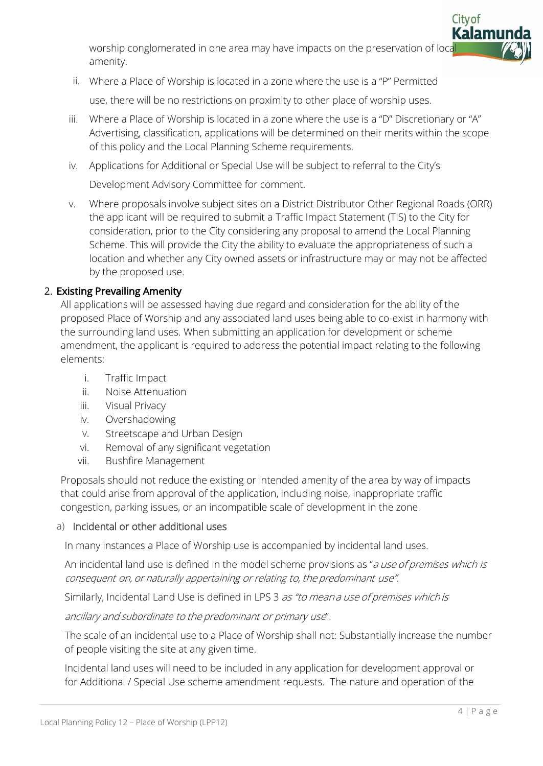worship conglomerated in one area may have impacts on the preservation of local amenity.

ii. Where a Place of Worship is located in a zone where the use is a "P" Permitted

use, there will be no restrictions on proximity to other place of worship uses.

- iii. Where a Place of Worship is located in a zone where the use is a "D" Discretionary or "A" Advertising, classification, applications will be determined on their merits within the scope of this policy and the Local Planning Scheme requirements.
- iv. Applications for Additional or Special Use will be subject to referral to the City's

Development Advisory Committee for comment.

v. Where proposals involve subject sites on a District Distributor Other Regional Roads (ORR) the applicant will be required to submit a Traffic Impact Statement (TIS) to the City for consideration, prior to the City considering any proposal to amend the Local Planning Scheme. This will provide the City the ability to evaluate the appropriateness of such a location and whether any City owned assets or infrastructure may or may not be affected by the proposed use.

## 2. Existing Prevailing Amenity

All applications will be assessed having due regard and consideration for the ability of the proposed Place of Worship and any associated land uses being able to co-exist in harmony with the surrounding land uses. When submitting an application for development or scheme amendment, the applicant is required to address the potential impact relating to the following elements:

- i. Traffic Impact
- ii. Noise Attenuation
- iii. Visual Privacy
- iv. Overshadowing
- v. Streetscape and Urban Design
- vi. Removal of any significant vegetation
- vii. Bushfire Management

Proposals should not reduce the existing or intended amenity of the area by way of impacts that could arise from approval of the application, including noise, inappropriate traffic congestion, parking issues, or an incompatible scale of development in the zone.

## a) Incidental or other additional uses

In many instances a Place of Worship use is accompanied by incidental land uses.

An incidental land use is defined in the model scheme provisions as "a use of premises which is consequent on, or naturally appertaining or relating to, the predominant use".

Similarly, Incidental Land Use is defined in LPS 3 as "to mean a use of premises which is

ancillary and subordinate to the predominant or primary use".

The scale of an incidental use to a Place of Worship shall not: Substantially increase the number of people visiting the site at any given time.

Incidental land uses will need to be included in any application for development approval or for Additional / Special Use scheme amendment requests. The nature and operation of the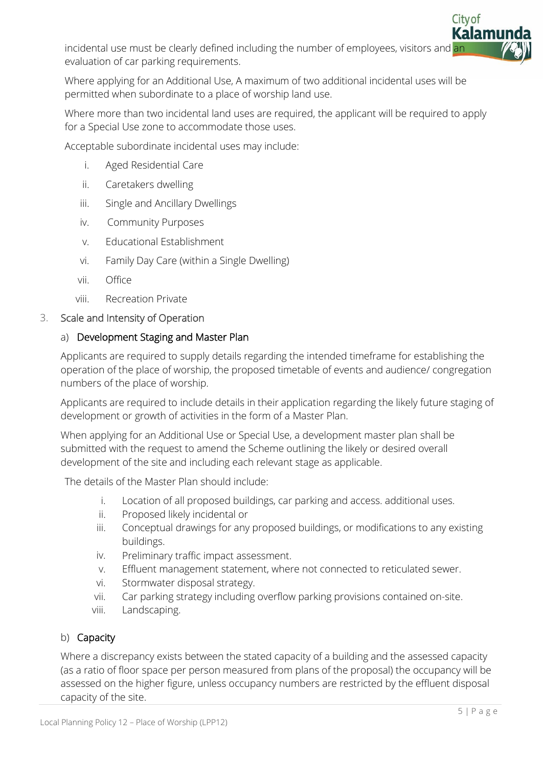incidental use must be clearly defined including the number of employees, visitors and an evaluation of car parking requirements.

Where applying for an Additional Use, A maximum of two additional incidental uses will be permitted when subordinate to a place of worship land use.

Where more than two incidental land uses are required, the applicant will be required to apply for a Special Use zone to accommodate those uses.

Acceptable subordinate incidental uses may include:

- i. Aged Residential Care
- ii. Caretakers dwelling
- iii. Single and Ancillary Dwellings
- iv. Community Purposes
- v. Educational Establishment
- vi. Family Day Care (within a Single Dwelling)
- vii. Office
- viii. Recreation Private

#### 3. Scale and Intensity of Operation

## a) Development Staging and Master Plan

Applicants are required to supply details regarding the intended timeframe for establishing the operation of the place of worship, the proposed timetable of events and audience/ congregation numbers of the place of worship.

Applicants are required to include details in their application regarding the likely future staging of development or growth of activities in the form of a Master Plan.

When applying for an Additional Use or Special Use, a development master plan shall be submitted with the request to amend the Scheme outlining the likely or desired overall development of the site and including each relevant stage as applicable.

The details of the Master Plan should include:

- i. Location of all proposed buildings, car parking and access. additional uses.
- ii. Proposed likely incidental or
- iii. Conceptual drawings for any proposed buildings, or modifications to any existing buildings.
- iv. Preliminary traffic impact assessment.
- v. Effluent management statement, where not connected to reticulated sewer.
- vi. Stormwater disposal strategy.
- vii. Car parking strategy including overflow parking provisions contained on-site.
- viii. Landscaping.

## b) Capacity

Where a discrepancy exists between the stated capacity of a building and the assessed capacity (as a ratio of floor space per person measured from plans of the proposal) the occupancy will be assessed on the higher figure, unless occupancy numbers are restricted by the effluent disposal capacity of the site.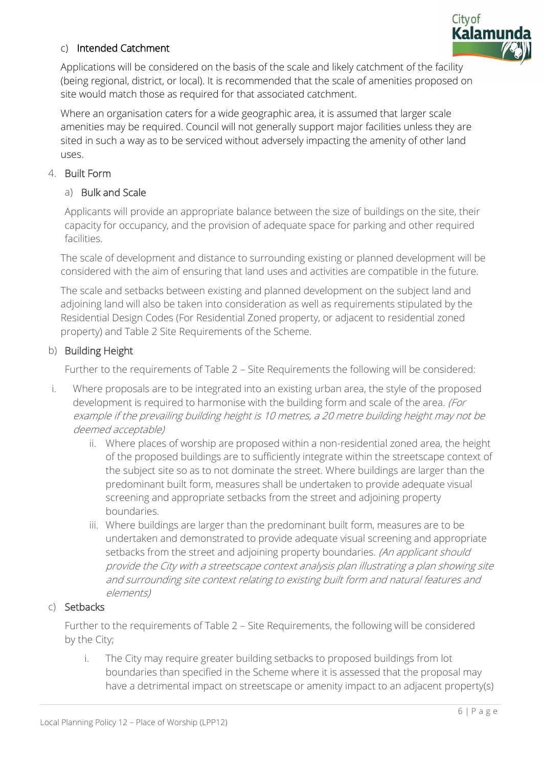

## c) Intended Catchment

Applications will be considered on the basis of the scale and likely catchment of the facility (being regional, district, or local). It is recommended that the scale of amenities proposed on site would match those as required for that associated catchment.

Where an organisation caters for a wide geographic area, it is assumed that larger scale amenities may be required. Council will not generally support major facilities unless they are sited in such a way as to be serviced without adversely impacting the amenity of other land uses.

#### 4. Built Form

#### a) Bulk and Scale

Applicants will provide an appropriate balance between the size of buildings on the site, their capacity for occupancy, and the provision of adequate space for parking and other required facilities.

The scale of development and distance to surrounding existing or planned development will be considered with the aim of ensuring that land uses and activities are compatible in the future.

The scale and setbacks between existing and planned development on the subject land and adjoining land will also be taken into consideration as well as requirements stipulated by the Residential Design Codes (For Residential Zoned property, or adjacent to residential zoned property) and Table 2 Site Requirements of the Scheme.

## b) Building Height

Further to the requirements of Table 2 – Site Requirements the following will be considered:

- i. Where proposals are to be integrated into an existing urban area, the style of the proposed development is required to harmonise with the building form and scale of the area. (For example if the prevailing building height is 10 metres, a 20 metre building height may not be deemed acceptable)
	- ii. Where places of worship are proposed within a non-residential zoned area, the height of the proposed buildings are to sufficiently integrate within the streetscape context of the subject site so as to not dominate the street. Where buildings are larger than the predominant built form, measures shall be undertaken to provide adequate visual screening and appropriate setbacks from the street and adjoining property boundaries.
	- iii. Where buildings are larger than the predominant built form, measures are to be undertaken and demonstrated to provide adequate visual screening and appropriate setbacks from the street and adjoining property boundaries. (An applicant should provide the City with a streetscape context analysis plan illustrating a plan showing site and surrounding site context relating to existing built form and natural features and elements)

#### c) Setbacks

Further to the requirements of Table 2 – Site Requirements, the following will be considered by the City;

i. The City may require greater building setbacks to proposed buildings from lot boundaries than specified in the Scheme where it is assessed that the proposal may have a detrimental impact on streetscape or amenity impact to an adjacent property(s)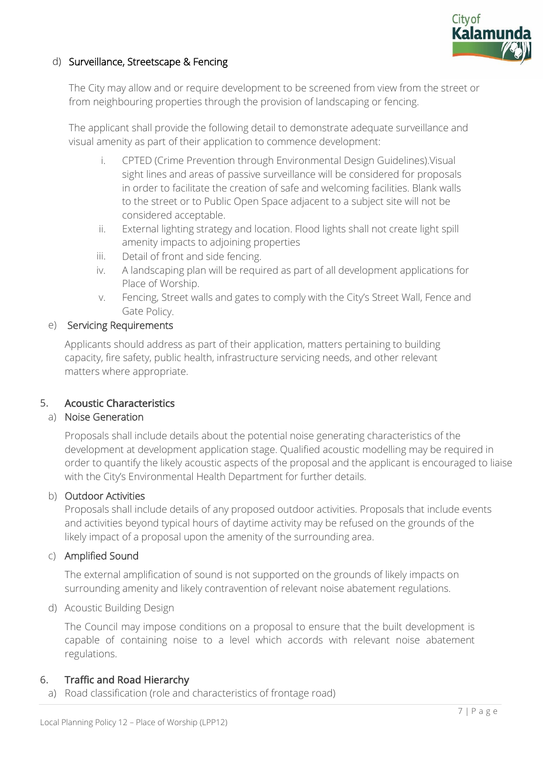

## d) Surveillance, Streetscape & Fencing

The City may allow and or require development to be screened from view from the street or from neighbouring properties through the provision of landscaping or fencing.

The applicant shall provide the following detail to demonstrate adequate surveillance and visual amenity as part of their application to commence development:

- i. CPTED (Crime Prevention through Environmental Design Guidelines).Visual sight lines and areas of passive surveillance will be considered for proposals in order to facilitate the creation of safe and welcoming facilities. Blank walls to the street or to Public Open Space adjacent to a subject site will not be considered acceptable.
- ii. External lighting strategy and location. Flood lights shall not create light spill amenity impacts to adjoining properties
- iii. Detail of front and side fencing.
- iv. A landscaping plan will be required as part of all development applications for Place of Worship.
- v. Fencing, Street walls and gates to comply with the City's Street Wall, Fence and Gate Policy.

#### e) Servicing Requirements

Applicants should address as part of their application, matters pertaining to building capacity, fire safety, public health, infrastructure servicing needs, and other relevant matters where appropriate.

## 5. Acoustic Characteristics

#### a) Noise Generation

Proposals shall include details about the potential noise generating characteristics of the development at development application stage. Qualified acoustic modelling may be required in order to quantify the likely acoustic aspects of the proposal and the applicant is encouraged to liaise with the City's Environmental Health Department for further details.

#### b) Outdoor Activities

Proposals shall include details of any proposed outdoor activities. Proposals that include events and activities beyond typical hours of daytime activity may be refused on the grounds of the likely impact of a proposal upon the amenity of the surrounding area.

#### c) Amplified Sound

The external amplification of sound is not supported on the grounds of likely impacts on surrounding amenity and likely contravention of relevant noise abatement regulations.

d) Acoustic Building Design

The Council may impose conditions on a proposal to ensure that the built development is capable of containing noise to a level which accords with relevant noise abatement regulations.

#### 6. Traffic and Road Hierarchy

a) Road classification (role and characteristics of frontage road)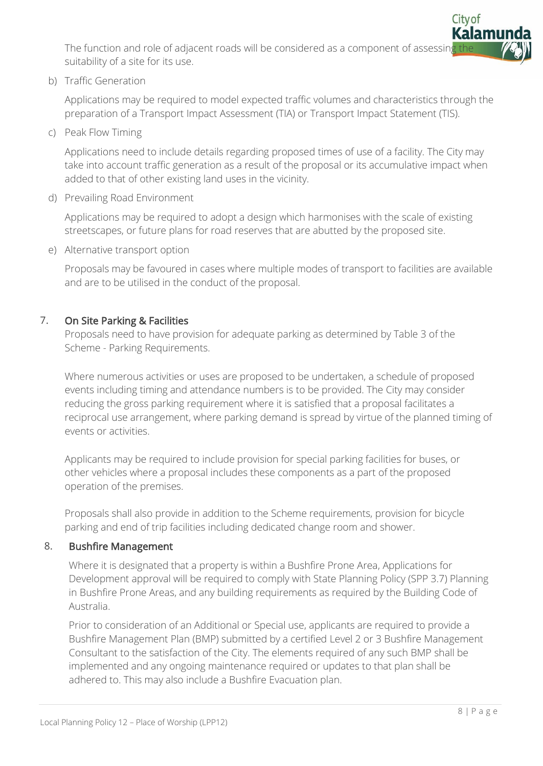The function and role of adjacent roads will be considered as a component of assessing suitability of a site for its use.

b) Traffic Generation

Applications may be required to model expected traffic volumes and characteristics through the preparation of a Transport Impact Assessment (TIA) or Transport Impact Statement (TIS).

c) Peak Flow Timing

Applications need to include details regarding proposed times of use of a facility. The City may take into account traffic generation as a result of the proposal or its accumulative impact when added to that of other existing land uses in the vicinity.

d) Prevailing Road Environment

Applications may be required to adopt a design which harmonises with the scale of existing streetscapes, or future plans for road reserves that are abutted by the proposed site.

e) Alternative transport option

Proposals may be favoured in cases where multiple modes of transport to facilities are available and are to be utilised in the conduct of the proposal.

## 7. On Site Parking & Facilities

Proposals need to have provision for adequate parking as determined by Table 3 of the Scheme - Parking Requirements.

Where numerous activities or uses are proposed to be undertaken, a schedule of proposed events including timing and attendance numbers is to be provided. The City may consider reducing the gross parking requirement where it is satisfied that a proposal facilitates a reciprocal use arrangement, where parking demand is spread by virtue of the planned timing of events or activities.

Applicants may be required to include provision for special parking facilities for buses, or other vehicles where a proposal includes these components as a part of the proposed operation of the premises.

Proposals shall also provide in addition to the Scheme requirements, provision for bicycle parking and end of trip facilities including dedicated change room and shower.

## 8. Bushfire Management

Where it is designated that a property is within a Bushfire Prone Area, Applications for Development approval will be required to comply with State Planning Policy (SPP 3.7) Planning in Bushfire Prone Areas, and any building requirements as required by the Building Code of Australia.

Prior to consideration of an Additional or Special use, applicants are required to provide a Bushfire Management Plan (BMP) submitted by a certified Level 2 or 3 Bushfire Management Consultant to the satisfaction of the City. The elements required of any such BMP shall be implemented and any ongoing maintenance required or updates to that plan shall be adhered to. This may also include a Bushfire Evacuation plan.